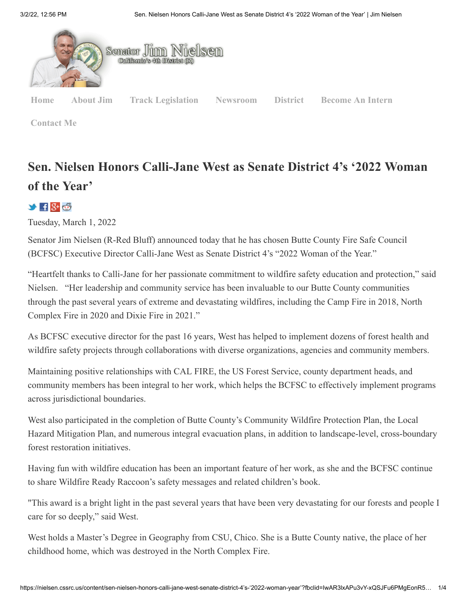

**[Contact Me](https://nielsen.cssrc.us/content/my-offices)**

## **Sen. Nielsen Honors Calli-Jane West as Senate District 4's '2022 Woman of the Year'**

 $\rightarrow$  H  $8$ +  $6$ 

Tuesday, March 1, 2022

Senator Jim Nielsen (R-Red Bluff) announced today that he has chosen Butte County Fire Safe Council (BCFSC) Executive Director Calli-Jane West as Senate District 4's "2022 Woman of the Year."

"Heartfelt thanks to Calli-Jane for her passionate commitment to wildfire safety education and protection," said Nielsen. "Her leadership and community service has been invaluable to our Butte County communities through the past several years of extreme and devastating wildfires, including the Camp Fire in 2018, North Complex Fire in 2020 and Dixie Fire in 2021."

As BCFSC executive director for the past 16 years, West has helped to implement dozens of forest health and wildfire safety projects through collaborations with diverse organizations, agencies and community members.

Maintaining positive relationships with CAL FIRE, the US Forest Service, county department heads, and community members has been integral to her work, which helps the BCFSC to effectively implement programs across jurisdictional boundaries.

West also participated in the completion of Butte County's Community Wildfire Protection Plan, the Local Hazard Mitigation Plan, and numerous integral evacuation plans, in addition to landscape-level, cross-boundary forest restoration initiatives.

Having fun with wildfire education has been an important feature of her work, as she and the BCFSC continue to share Wildfire Ready Raccoon's safety messages and related children's book.

"This award is a bright light in the past several years that have been very devastating for our forests and people I care for so deeply," said West.

West holds a Master's Degree in Geography from CSU, Chico. She is a Butte County native, the place of her childhood home, which was destroyed in the North Complex Fire.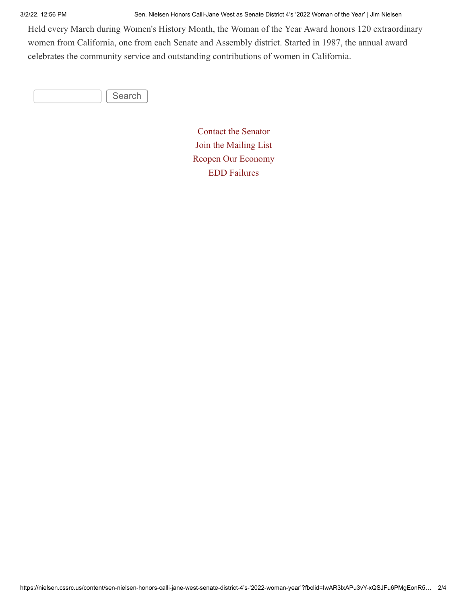3/2/22, 12:56 PM Sen. Nielsen Honors Calli-Jane West as Senate District 4's '2022 Woman of the Year' | Jim Nielsen

Held every March during Women's History Month, the Woman of the Year Award honors 120 extraordinary women from California, one from each Senate and Assembly district. Started in 1987, the annual award celebrates the community service and outstanding contributions of women in California.

Search

[Contact the Senator](https://nielsen.cssrc.us/content/email-me) [Join the Mailing List](https://nielsen.cssrc.us/content/join-mailing-list) [Reopen Our Economy](https://nielsen.cssrc.us/content/re-opening-our-economy) [EDD Failures](https://cssrc.us/issue/edd-timeline-failures)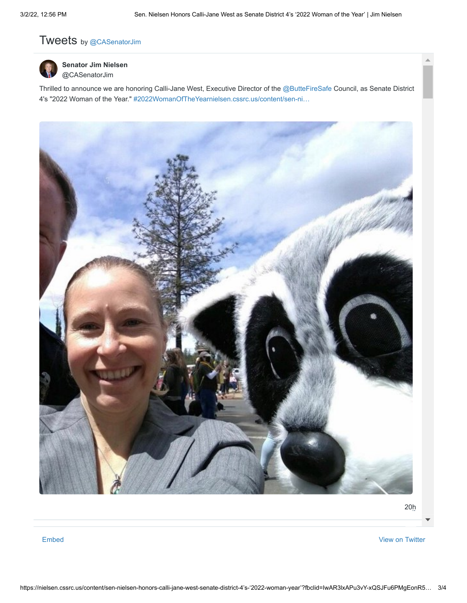## Tweets by [@CASenatorJim](https://twitter.com/CASenatorJim)



**[Senator Jim Nielsen](https://twitter.com/CASenatorJim)** @CASenatorJim

Thrilled to announce we are honoring Calli-Jane West, Executive Director of the [@ButteFireSafe](https://twitter.com/ButteFireSafe) Council, as Senate District 4's "2022 Woman of the Year." [#2022WomanOfTheYear](https://twitter.com/hashtag/2022WomanOfTheYear?src=hash)[nielsen.cssrc.us/content/sen-ni…](https://t.co/dWkGnqxeAU)



[20h](https://twitter.com/CASenatorJim/status/1498813668976254976)

[Embed](https://publish.twitter.com/?url=https%3A%2F%2Ftwitter.com%2FCASenatorJim) [View on Twitter](https://twitter.com/CASenatorJim)